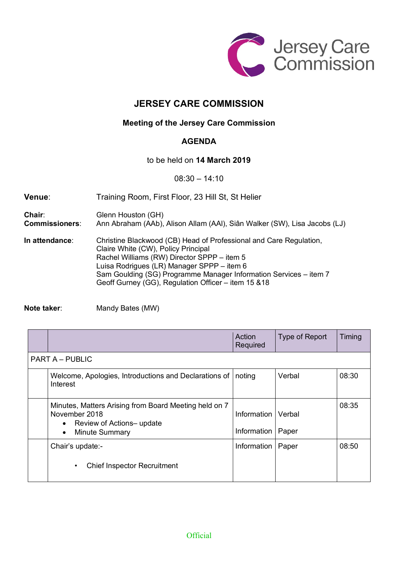

## **JERSEY CARE COMMISSION**

## **Meeting of the Jersey Care Commission**

## **AGENDA**

to be held on **14 March 2019**

08:30 – 14:10

| Venue:                          | Training Room, First Floor, 23 Hill St, St Helier                                                                                                                                                                                                                                                                                   |  |
|---------------------------------|-------------------------------------------------------------------------------------------------------------------------------------------------------------------------------------------------------------------------------------------------------------------------------------------------------------------------------------|--|
| Chair:<br><b>Commissioners:</b> | Glenn Houston (GH)<br>Ann Abraham (AAb), Alison Allam (AAI), Siân Walker (SW), Lisa Jacobs (LJ)                                                                                                                                                                                                                                     |  |
| In attendance:                  | Christine Blackwood (CB) Head of Professional and Care Regulation,<br>Claire White (CW), Policy Principal<br>Rachel Williams (RW) Director SPPP - item 5<br>Luisa Rodrigues (LR) Manager SPPP - item 6<br>Sam Goulding (SG) Programme Manager Information Services - item 7<br>Geoff Gurney (GG), Regulation Officer - item 15 & 18 |  |

**Note taker:** Mandy Bates (MW)

|                        |                                                                                                                                                       | Action<br>Required                  | Type of Report | Timing |  |  |  |
|------------------------|-------------------------------------------------------------------------------------------------------------------------------------------------------|-------------------------------------|----------------|--------|--|--|--|
| <b>PART A – PUBLIC</b> |                                                                                                                                                       |                                     |                |        |  |  |  |
|                        | Welcome, Apologies, Introductions and Declarations of<br>Interest                                                                                     | noting                              | Verbal         | 08:30  |  |  |  |
|                        | Minutes, Matters Arising from Board Meeting held on 7<br>November 2018<br>Review of Actions-update<br>$\bullet$<br><b>Minute Summary</b><br>$\bullet$ | Information   Verbal<br>Information | Paper          | 08:35  |  |  |  |
|                        | Chair's update:-<br><b>Chief Inspector Recruitment</b><br>$\bullet$                                                                                   | Information                         | Paper          | 08:50  |  |  |  |